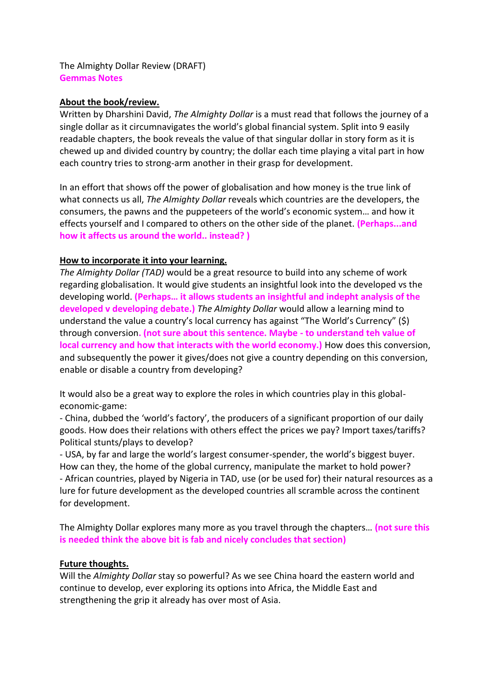The Almighty Dollar Review (DRAFT) **Gemmas Notes** 

## **About the book/review.**

Written by Dharshini David, *The Almighty Dollar* is a must read that follows the journey of a single dollar as it circumnavigates the world's global financial system. Split into 9 easily readable chapters, the book reveals the value of that singular dollar in story form as it is chewed up and divided country by country; the dollar each time playing a vital part in how each country tries to strong-arm another in their grasp for development.

In an effort that shows off the power of globalisation and how money is the true link of what connects us all, *The Almighty Dollar* reveals which countries are the developers, the consumers, the pawns and the puppeteers of the world's economic system… and how it effects yourself and I compared to others on the other side of the planet. **(Perhaps...and how it affects us around the world.. instead? )**

## **How to incorporate it into your learning.**

*The Almighty Dollar (TAD)* would be a great resource to build into any scheme of work regarding globalisation. It would give students an insightful look into the developed vs the developing world. **(Perhaps… it allows students an insightful and indepht analysis of the developed v developing debate.)** *The Almighty Dollar* would allow a learning mind to understand the value a country's local currency has against "The World's Currency" (\$) through conversion**. (not sure about this sentence. Maybe - to understand teh value of local currency and how that interacts with the world economy.)** How does this conversion, and subsequently the power it gives/does not give a country depending on this conversion, enable or disable a country from developing?

It would also be a great way to explore the roles in which countries play in this globaleconomic-game:

- China, dubbed the 'world's factory', the producers of a significant proportion of our daily goods. How does their relations with others effect the prices we pay? Import taxes/tariffs? Political stunts/plays to develop?

- USA, by far and large the world's largest consumer-spender, the world's biggest buyer. How can they, the home of the global currency, manipulate the market to hold power? - African countries, played by Nigeria in TAD, use (or be used for) their natural resources as a lure for future development as the developed countries all scramble across the continent for development.

The Almighty Dollar explores many more as you travel through the chapters… **(not sure this is needed think the above bit is fab and nicely concludes that section)**

## **Future thoughts.**

Will the *Almighty Dollar* stay so powerful? As we see China hoard the eastern world and continue to develop, ever exploring its options into Africa, the Middle East and strengthening the grip it already has over most of Asia.